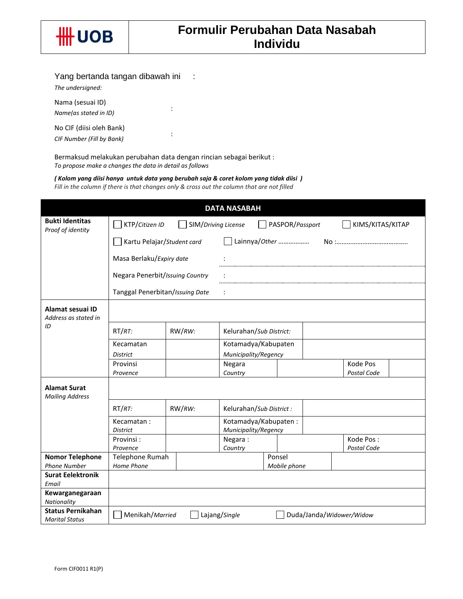

## Yang bertanda tangan dibawah ini :

*The undersigned:*

Nama (sesuai ID) *Name(as stated in ID)* :

No CIF (diisi oleh Bank) *CIF Number (Fill by Bank)* :

Bermaksud melakukan perubahan data dengan rincian sebagai berikut : *To propose make a changes the data in detail as follows*

*( Kolom yang diisi hanya untuk data yang berubah saja & coret kolom yang tidak diisi ) Fill in the column if there is that changes only & cross out the column that are not filled*

|                                                   |                                                                              |        | <b>DATA NASABAH</b>                          |  |              |  |                          |  |
|---------------------------------------------------|------------------------------------------------------------------------------|--------|----------------------------------------------|--|--------------|--|--------------------------|--|
| <b>Bukti Identitas</b><br>Proof of identity       | KTP/Citizen ID<br>SIM/Driving License<br>PASPOR/Passport<br>KIMS/KITAS/KITAP |        |                                              |  |              |  |                          |  |
|                                                   | Kartu Pelajar/Student card                                                   |        | Lainnya/Other                                |  |              |  |                          |  |
|                                                   | Masa Berlaku/Expiry date                                                     |        |                                              |  |              |  |                          |  |
|                                                   | Negara Penerbit/Issuing Country                                              |        |                                              |  |              |  |                          |  |
|                                                   | Tanggal Penerbitan/Issuing Date                                              |        |                                              |  |              |  |                          |  |
| Alamat sesuai ID<br>Address as stated in          |                                                                              |        |                                              |  |              |  |                          |  |
| ID                                                | $RT/RT$ :                                                                    | RW/RW: | Kelurahan/Sub District:                      |  |              |  |                          |  |
|                                                   | Kecamatan                                                                    |        | Kotamadya/Kabupaten                          |  |              |  |                          |  |
|                                                   | <b>District</b>                                                              |        | Municipality/Regency                         |  |              |  |                          |  |
|                                                   | Provinsi<br>Provence                                                         |        | Negara<br>Country                            |  |              |  | Kode Pos<br>Postal Code  |  |
| <b>Alamat Surat</b><br><b>Mailing Address</b>     |                                                                              |        |                                              |  |              |  |                          |  |
|                                                   | $RT/RT$ :                                                                    | RW/RW: | Kelurahan/Sub District :                     |  |              |  |                          |  |
|                                                   | Kecamatan:<br><b>District</b>                                                |        | Kotamadya/Kabupaten:<br>Municipality/Regency |  |              |  |                          |  |
|                                                   | Provinsi:<br>Provence                                                        |        | Negara:<br>Country                           |  |              |  | Kode Pos:<br>Postal Code |  |
| <b>Nomor Telephone</b>                            | Telephone Rumah                                                              |        |                                              |  | Ponsel       |  |                          |  |
| <b>Phone Number</b>                               | Home Phone                                                                   |        |                                              |  | Mobile phone |  |                          |  |
| <b>Surat Eelektronik</b><br>Email                 |                                                                              |        |                                              |  |              |  |                          |  |
| Kewarganegaraan<br>Nationality                    |                                                                              |        |                                              |  |              |  |                          |  |
| <b>Status Pernikahan</b><br><b>Marital Status</b> | Menikah/Married                                                              |        | Lajang/Single                                |  |              |  | Duda/Janda/Widower/Widow |  |